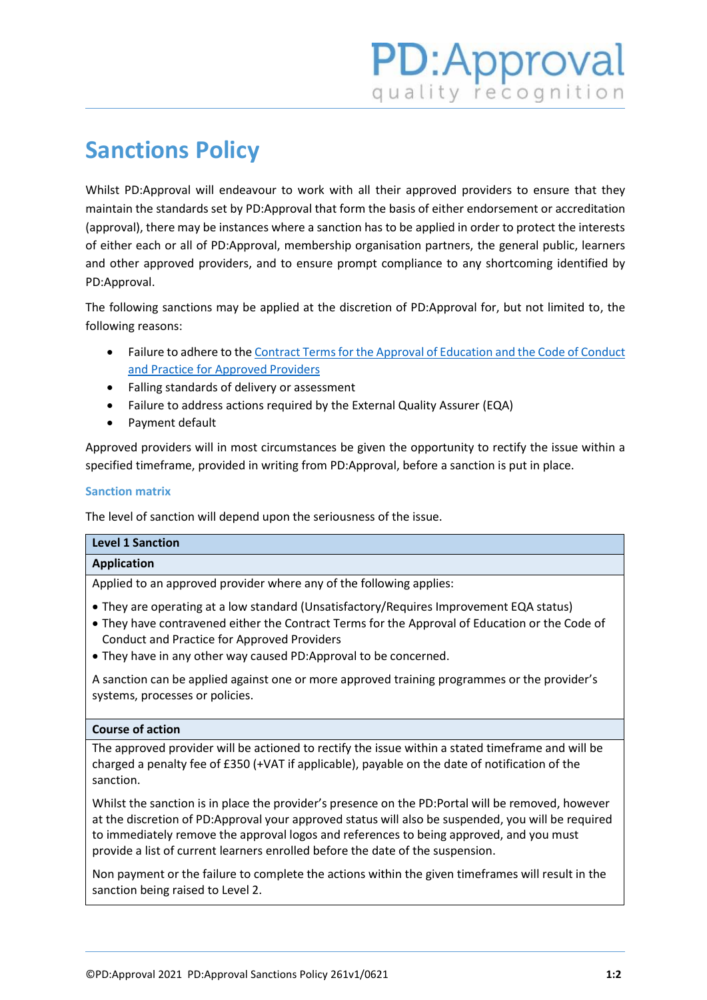# **Sanctions Policy**

Whilst PD:Approval will endeavour to work with all their approved providers to ensure that they maintain the standards set by PD:Approval that form the basis of either endorsement or accreditation (approval), there may be instances where a sanction has to be applied in order to protect the interests of either each or all of PD:Approval, membership organisation partners, the general public, learners and other approved providers, and to ensure prompt compliance to any shortcoming identified by PD:Approval.

The following sanctions may be applied at the discretion of PD:Approval for, but not limited to, the following reasons:

- Failure to adhere to th[e Contract Terms for the Approval of Education and the Code of Conduct](https://www.pdapproval.com/contract-terms)  [and Practice for Approved Providers](https://www.pdapproval.com/contract-terms)
- Falling standards of delivery or assessment
- Failure to address actions required by the External Quality Assurer (EQA)
- Payment default

Approved providers will in most circumstances be given the opportunity to rectify the issue within a specified timeframe, provided in writing from PD:Approval, before a sanction is put in place.

# **Sanction matrix**

The level of sanction will depend upon the seriousness of the issue.

# **Application**

Applied to an approved provider where any of the following applies:

- They are operating at a low standard (Unsatisfactory/Requires Improvement EQA status)
- They have contravened either the Contract Terms for the Approval of Education or the Code of Conduct and Practice for Approved Providers
- They have in any other way caused PD:Approval to be concerned.

A sanction can be applied against one or more approved training programmes or the provider's systems, processes or policies.

## **Course of action**

The approved provider will be actioned to rectify the issue within a stated timeframe and will be charged a penalty fee of £350 (+VAT if applicable), payable on the date of notification of the sanction.

Whilst the sanction is in place the provider's presence on the PD:Portal will be removed, however at the discretion of PD:Approval your approved status will also be suspended, you will be required to immediately remove the approval logos and references to being approved, and you must provide a list of current learners enrolled before the date of the suspension.

Non payment or the failure to complete the actions within the given timeframes will result in the sanction being raised to Level 2.